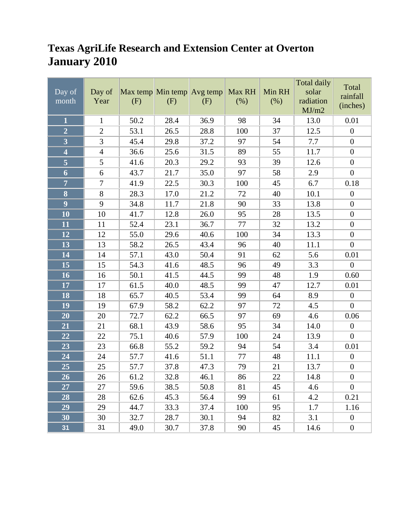#### **Texas AgriLife Research and Extension Center at Overton January 2010**

| Day of<br>month         | Day of<br>Year | Max temp Min temp Avg temp<br>(F) | (F)  | (F)  | Max RH<br>(% ) | Min RH<br>(% ) | Total daily<br>solar<br>radiation<br>MJ/m2 | Total<br>rainfall<br>(inches) |
|-------------------------|----------------|-----------------------------------|------|------|----------------|----------------|--------------------------------------------|-------------------------------|
| $\mathbf{1}$            | $\mathbf{1}$   | 50.2                              | 28.4 | 36.9 | 98             | 34             | 13.0                                       | 0.01                          |
| $\overline{2}$          | $\mathbf{2}$   | 53.1                              | 26.5 | 28.8 | 100            | 37             | 12.5                                       | $\boldsymbol{0}$              |
| $\overline{\mathbf{3}}$ | 3              | 45.4                              | 29.8 | 37.2 | 97             | 54             | 7.7                                        | $\boldsymbol{0}$              |
| $\overline{\mathbf{4}}$ | $\overline{4}$ | 36.6                              | 25.6 | 31.5 | 89             | 55             | 11.7                                       | $\boldsymbol{0}$              |
|                         | 5              | 41.6                              | 20.3 | 29.2 | 93             | 39             | 12.6                                       | $\boldsymbol{0}$              |
| 6                       | 6              | 43.7                              | 21.7 | 35.0 | 97             | 58             | 2.9                                        | $\boldsymbol{0}$              |
| $\overline{7}$          | $\tau$         | 41.9                              | 22.5 | 30.3 | 100            | 45             | 6.7                                        | 0.18                          |
| $\overline{\mathbf{8}}$ | 8              | 28.3                              | 17.0 | 21.2 | 72             | 40             | 10.1                                       | $\boldsymbol{0}$              |
| $\overline{9}$          | 9              | 34.8                              | 11.7 | 21.8 | 90             | 33             | 13.8                                       | $\boldsymbol{0}$              |
| 10                      | 10             | 41.7                              | 12.8 | 26.0 | 95             | 28             | 13.5                                       | $\boldsymbol{0}$              |
| 11                      | 11             | 52.4                              | 23.1 | 36.7 | 77             | 32             | 13.2                                       | $\boldsymbol{0}$              |
| 12                      | 12             | 55.0                              | 29.6 | 40.6 | 100            | 34             | 13.3                                       | $\boldsymbol{0}$              |
| 13                      | 13             | 58.2                              | 26.5 | 43.4 | 96             | 40             | 11.1                                       | $\boldsymbol{0}$              |
| 14                      | 14             | 57.1                              | 43.0 | 50.4 | 91             | 62             | 5.6                                        | 0.01                          |
| 15                      | 15             | 54.3                              | 41.6 | 48.5 | 96             | 49             | 3.3                                        | $\boldsymbol{0}$              |
| 16                      | 16             | 50.1                              | 41.5 | 44.5 | 99             | 48             | 1.9                                        | 0.60                          |
| 17                      | 17             | 61.5                              | 40.0 | 48.5 | 99             | 47             | 12.7                                       | 0.01                          |
| 18                      | 18             | 65.7                              | 40.5 | 53.4 | 99             | 64             | 8.9                                        | $\boldsymbol{0}$              |
| 19                      | 19             | 67.9                              | 58.2 | 62.2 | 97             | 72             | 4.5                                        | $\overline{0}$                |
| 20                      | 20             | 72.7                              | 62.2 | 66.5 | 97             | 69             | 4.6                                        | 0.06                          |
| 21                      | 21             | 68.1                              | 43.9 | 58.6 | 95             | 34             | 14.0                                       | $\boldsymbol{0}$              |
| 22                      | 22             | 75.1                              | 40.6 | 57.9 | 100            | 24             | 13.9                                       | $\overline{0}$                |
| 23                      | 23             | 66.8                              | 55.2 | 59.2 | 94             | 54             | 3.4                                        | 0.01                          |
| 24                      | 24             | 57.7                              | 41.6 | 51.1 | 77             | 48             | 11.1                                       | $\boldsymbol{0}$              |
| 25                      | 25             | 57.7                              | 37.8 | 47.3 | 79             | 21             | 13.7                                       | $\boldsymbol{0}$              |
| 26                      | 26             | 61.2                              | 32.8 | 46.1 | 86             | $22\,$         | 14.8                                       | $\boldsymbol{0}$              |
| 27                      | 27             | 59.6                              | 38.5 | 50.8 | 81             | 45             | 4.6                                        | $\boldsymbol{0}$              |
| 28                      | 28             | 62.6                              | 45.3 | 56.4 | 99             | 61             | 4.2                                        | 0.21                          |
| 29                      | 29             | 44.7                              | 33.3 | 37.4 | 100            | 95             | 1.7                                        | 1.16                          |
| 30                      | 30             | 32.7                              | 28.7 | 30.1 | 94             | 82             | 3.1                                        | $\boldsymbol{0}$              |
| 31                      | 31             | 49.0                              | 30.7 | 37.8 | 90             | 45             | 14.6                                       | $\boldsymbol{0}$              |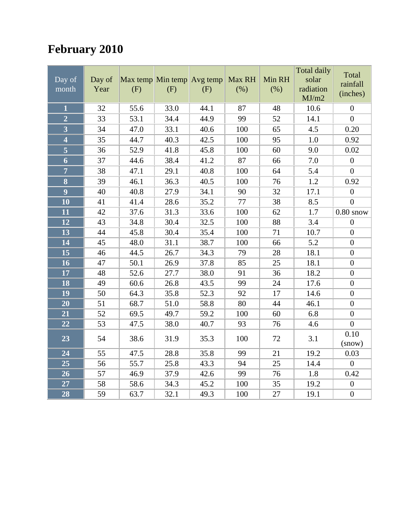## **February 2010**

| Day of<br>month                      | Day of<br>Year | (F)  | Max temp Min temp Avg temp<br>(F) | (F)  | Max RH<br>(%) | Min RH<br>(% ) | Total daily<br>solar<br>radiation<br>MJ/m2 | Total<br>rainfall<br>(inches) |
|--------------------------------------|----------------|------|-----------------------------------|------|---------------|----------------|--------------------------------------------|-------------------------------|
| $\overline{\mathbf{1}}$              | 32             | 55.6 | 33.0                              | 44.1 | 87            | 48             | 10.6                                       | $\boldsymbol{0}$              |
| $\overline{2}$                       | 33             | 53.1 | 34.4                              | 44.9 | 99            | 52             | 14.1                                       | $\overline{0}$                |
| $\overline{\mathbf{3}}$              | 34             | 47.0 | 33.1                              | 40.6 | 100           | 65             | 4.5                                        | 0.20                          |
| $\overline{\mathbf{4}}$              | 35             | 44.7 | 40.3                              | 42.5 | 100           | 95             | 1.0                                        | 0.92                          |
| $\overline{\overline{\overline{5}}}$ | 36             | 52.9 | 41.8                              | 45.8 | 100           | 60             | 9.0                                        | 0.02                          |
| $\boldsymbol{6}$                     | 37             | 44.6 | 38.4                              | 41.2 | 87            | 66             | 7.0                                        | $\boldsymbol{0}$              |
| $\overline{7}$                       | 38             | 47.1 | 29.1                              | 40.8 | 100           | 64             | 5.4                                        | $\overline{0}$                |
| 8                                    | 39             | 46.1 | 36.3                              | 40.5 | 100           | 76             | 1.2                                        | 0.92                          |
| $\overline{9}$                       | 40             | 40.8 | 27.9                              | 34.1 | 90            | 32             | 17.1                                       | $\boldsymbol{0}$              |
| 10                                   | 41             | 41.4 | 28.6                              | 35.2 | 77            | 38             | 8.5                                        | $\overline{0}$                |
| 11                                   | 42             | 37.6 | 31.3                              | 33.6 | 100           | 62             | 1.7                                        | $0.80$ snow                   |
| 12                                   | 43             | 34.8 | 30.4                              | 32.5 | 100           | 88             | 3.4                                        | $\boldsymbol{0}$              |
| 13                                   | 44             | 45.8 | 30.4                              | 35.4 | 100           | 71             | 10.7                                       | $\boldsymbol{0}$              |
| 14                                   | 45             | 48.0 | 31.1                              | 38.7 | 100           | 66             | 5.2                                        | $\boldsymbol{0}$              |
| 15                                   | 46             | 44.5 | 26.7                              | 34.3 | 79            | 28             | 18.1                                       | $\boldsymbol{0}$              |
| 16                                   | 47             | 50.1 | 26.9                              | 37.8 | 85            | 25             | 18.1                                       | $\boldsymbol{0}$              |
| 17                                   | 48             | 52.6 | 27.7                              | 38.0 | 91            | 36             | 18.2                                       | $\boldsymbol{0}$              |
| 18                                   | 49             | 60.6 | 26.8                              | 43.5 | 99            | 24             | 17.6                                       | $\boldsymbol{0}$              |
| 19                                   | 50             | 64.3 | 35.8                              | 52.3 | 92            | 17             | 14.6                                       | $\boldsymbol{0}$              |
| 20                                   | 51             | 68.7 | 51.0                              | 58.8 | 80            | 44             | 46.1                                       | $\boldsymbol{0}$              |
| 21                                   | 52             | 69.5 | 49.7                              | 59.2 | 100           | 60             | 6.8                                        | $\overline{0}$                |
| 22                                   | 53             | 47.5 | 38.0                              | 40.7 | 93            | 76             | 4.6                                        | $\boldsymbol{0}$              |
| 23                                   | 54             | 38.6 | 31.9                              | 35.3 | 100           | 72             | 3.1                                        | 0.10<br>(snow)                |
| 24                                   | 55             | 47.5 | 28.8                              | 35.8 | 99            | 21             | 19.2                                       | 0.03                          |
| 25                                   | 56             | 55.7 | 25.8                              | 43.3 | 94            | 25             | 14.4                                       | $\overline{0}$                |
| 26                                   | 57             | 46.9 | 37.9                              | 42.6 | 99            | 76             | 1.8                                        | 0.42                          |
| 27                                   | 58             | 58.6 | 34.3                              | 45.2 | 100           | 35             | 19.2                                       | $\boldsymbol{0}$              |
| 28                                   | 59             | 63.7 | 32.1                              | 49.3 | 100           | 27             | 19.1                                       | $\overline{0}$                |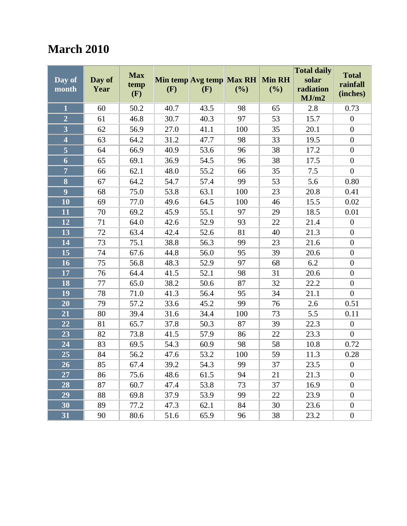#### **March 2010**

|                         |        |                    |                   |      |               | <b>Total daily</b><br><b>Total</b> |           |                  |
|-------------------------|--------|--------------------|-------------------|------|---------------|------------------------------------|-----------|------------------|
| Day of                  | Day of | <b>Max</b><br>temp | Min temp Avg temp |      | <b>Max RH</b> | <b>Min RH</b>                      | solar     | rainfall         |
| month                   | Year   | (F)                | (F)               | (F)  | (%)           | (%)                                | radiation | (inches)         |
|                         |        |                    |                   |      |               |                                    | MJ/m2     |                  |
| $\mathbf{1}$            | 60     | 50.2               | 40.7              | 43.5 | 98            | 65                                 | 2.8       | 0.73             |
| $\overline{2}$          | 61     | 46.8               | 30.7              | 40.3 | 97            | 53                                 | 15.7      | $\boldsymbol{0}$ |
| $\overline{\mathbf{3}}$ | 62     | 56.9               | 27.0              | 41.1 | 100           | 35                                 | 20.1      | $\boldsymbol{0}$ |
| $\overline{\mathbf{4}}$ | 63     | 64.2               | 31.2              | 47.7 | 98            | 33                                 | 19.5      | $\boldsymbol{0}$ |
|                         | 64     | 66.9               | 40.9              | 53.6 | 96            | 38                                 | 17.2      | $\boldsymbol{0}$ |
| $\boldsymbol{6}$        | 65     | 69.1               | 36.9              | 54.5 | 96            | 38                                 | 17.5      | $\boldsymbol{0}$ |
| $\overline{7}$          | 66     | 62.1               | 48.0              | 55.2 | 66            | 35                                 | 7.5       | $\overline{0}$   |
| $\overline{\mathbf{8}}$ | 67     | 64.2               | 54.7              | 57.4 | 99            | 53                                 | 5.6       | 0.80             |
| $\overline{9}$          | 68     | 75.0               | 53.8              | 63.1 | 100           | 23                                 | 20.8      | 0.41             |
| 10                      | 69     | 77.0               | 49.6              | 64.5 | 100           | 46                                 | 15.5      | 0.02             |
| 11                      | 70     | 69.2               | 45.9              | 55.1 | 97            | 29                                 | 18.5      | 0.01             |
| 12                      | 71     | 64.0               | 42.6              | 52.9 | 93            | 22                                 | 21.4      | $\boldsymbol{0}$ |
| 13                      | 72     | 63.4               | 42.4              | 52.6 | 81            | 40                                 | 21.3      | $\boldsymbol{0}$ |
| 14                      | 73     | 75.1               | 38.8              | 56.3 | 99            | 23                                 | 21.6      | $\boldsymbol{0}$ |
| 15                      | 74     | 67.6               | 44.8              | 56.0 | 95            | 39                                 | 20.6      | $\boldsymbol{0}$ |
| 16                      | 75     | 56.8               | 48.3              | 52.9 | 97            | 68                                 | 6.2       | $\boldsymbol{0}$ |
| 17                      | 76     | 64.4               | 41.5              | 52.1 | 98            | 31                                 | 20.6      | $\boldsymbol{0}$ |
| 18                      | 77     | 65.0               | 38.2              | 50.6 | 87            | 32                                 | 22.2      | $\boldsymbol{0}$ |
| 19                      | 78     | 71.0               | 41.3              | 56.4 | 95            | 34                                 | 21.1      | $\boldsymbol{0}$ |
| 20                      | 79     | 57.2               | 33.6              | 45.2 | 99            | 76                                 | 2.6       | 0.51             |
| 21                      | 80     | 39.4               | 31.6              | 34.4 | 100           | 73                                 | 5.5       | 0.11             |
| 22                      | 81     | 65.7               | 37.8              | 50.3 | 87            | 39                                 | 22.3      | $\boldsymbol{0}$ |
| 23                      | 82     | 73.8               | 41.5              | 57.9 | 86            | 22                                 | 23.3      | $\overline{0}$   |
| 24                      | 83     | 69.5               | 54.3              | 60.9 | 98            | 58                                 | 10.8      | 0.72             |
| 25                      | 84     | 56.2               | 47.6              | 53.2 | 100           | 59                                 | 11.3      | 0.28             |
| 26                      | 85     | 67.4               | 39.2              | 54.3 | 99            | 37                                 | 23.5      | $\boldsymbol{0}$ |
| 27                      | 86     | 75.6               | 48.6              | 61.5 | 94            | 21                                 | 21.3      | $\boldsymbol{0}$ |
| 28                      | 87     | 60.7               | 47.4              | 53.8 | 73            | 37                                 | 16.9      | $\boldsymbol{0}$ |
| 29                      | 88     | 69.8               | 37.9              | 53.9 | 99            | 22                                 | 23.9      | $\boldsymbol{0}$ |
| 30                      | 89     | 77.2               | 47.3              | 62.1 | 84            | 30                                 | 23.6      | $\boldsymbol{0}$ |
| 31                      | 90     | 80.6               | 51.6              | 65.9 | 96            | 38                                 | 23.2      | $\boldsymbol{0}$ |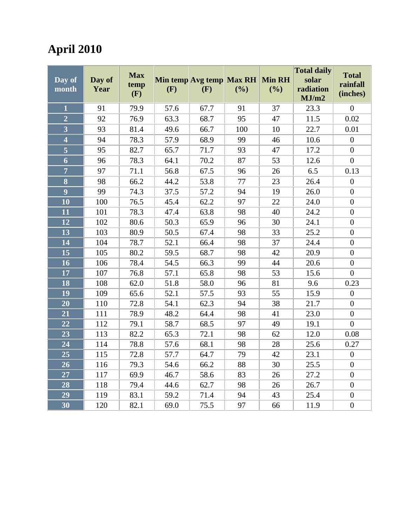# **April 2010**

|                     |        |                    |                   |      |               |               | <b>Total daily</b> | <b>Total</b>     |
|---------------------|--------|--------------------|-------------------|------|---------------|---------------|--------------------|------------------|
| Day of              | Day of | <b>Max</b><br>temp | Min temp Avg temp |      | <b>Max RH</b> | <b>Min RH</b> | solar              | rainfall         |
| month               | Year   | (F)                | (F)               | (F)  | (%)           | (%)           | radiation          | (inches)         |
|                     |        |                    |                   |      |               |               | MJ/m2              |                  |
| $\mathbf{1}$        | 91     | 79.9               | 57.6              | 67.7 | 91            | 37            | 23.3               | $\overline{0}$   |
| $\overline{2}$      | 92     | 76.9               | 63.3              | 68.7 | 95            | 47            | 11.5               | 0.02             |
| $\overline{3}$      | 93     | 81.4               | 49.6              | 66.7 | 100           | 10            | 22.7               | 0.01             |
| $\overline{\bf{4}}$ | 94     | 78.3               | 57.9              | 68.9 | 99            | 46            | 10.6               | $\boldsymbol{0}$ |
| $\overline{5}$      | 95     | 82.7               | 65.7              | 71.7 | 93            | 47            | 17.2               | $\boldsymbol{0}$ |
| 6                   | 96     | 78.3               | 64.1              | 70.2 | 87            | 53            | 12.6               | $\overline{0}$   |
| $\overline{7}$      | 97     | 71.1               | 56.8              | 67.5 | 96            | 26            | 6.5                | 0.13             |
| 8                   | 98     | 66.2               | 44.2              | 53.8 | 77            | 23            | 26.4               | $\boldsymbol{0}$ |
| $\overline{9}$      | 99     | 74.3               | 37.5              | 57.2 | 94            | 19            | 26.0               | $\overline{0}$   |
| $\overline{10}$     | 100    | 76.5               | 45.4              | 62.2 | 97            | 22            | 24.0               | $\overline{0}$   |
| 11                  | 101    | 78.3               | 47.4              | 63.8 | 98            | 40            | 24.2               | $\boldsymbol{0}$ |
| 12                  | 102    | 80.6               | 50.3              | 65.9 | 96            | 30            | 24.1               | $\boldsymbol{0}$ |
| 13                  | 103    | 80.9               | 50.5              | 67.4 | 98            | 33            | 25.2               | $\boldsymbol{0}$ |
| 14                  | 104    | 78.7               | 52.1              | 66.4 | 98            | 37            | 24.4               | $\overline{0}$   |
| 15                  | 105    | 80.2               | 59.5              | 68.7 | 98            | 42            | 20.9               | $\overline{0}$   |
| 16                  | 106    | 78.4               | 54.5              | 66.3 | 99            | 44            | 20.6               | $\boldsymbol{0}$ |
| 17                  | 107    | 76.8               | 57.1              | 65.8 | 98            | 53            | 15.6               | $\boldsymbol{0}$ |
| 18                  | 108    | 62.0               | 51.8              | 58.0 | 96            | 81            | 9.6                | 0.23             |
| 19                  | 109    | 65.6               | 52.1              | 57.5 | 93            | 55            | 15.9               | $\boldsymbol{0}$ |
| 20                  | 110    | 72.8               | 54.1              | 62.3 | 94            | 38            | 21.7               | $\overline{0}$   |
| 21                  | 111    | 78.9               | 48.2              | 64.4 | 98            | 41            | 23.0               | $\boldsymbol{0}$ |
| 22                  | 112    | 79.1               | 58.7              | 68.5 | 97            | 49            | 19.1               | $\boldsymbol{0}$ |
| 23                  | 113    | 82.2               | 65.3              | 72.1 | 98            | 62            | 12.0               | 0.08             |
| 24                  | 114    | 78.8               | 57.6              | 68.1 | 98            | 28            | 25.6               | 0.27             |
| 25                  | 115    | 72.8               | 57.7              | 64.7 | 79            | 42            | 23.1               | $\boldsymbol{0}$ |
| 26                  | 116    | 79.3               | 54.6              | 66.2 | 88            | 30            | 25.5               | $\boldsymbol{0}$ |
| 27                  | 117    | 69.9               | 46.7              | 58.6 | 83            | 26            | 27.2               | $\boldsymbol{0}$ |
| 28                  | 118    | 79.4               | 44.6              | 62.7 | 98            | 26            | 26.7               | $\boldsymbol{0}$ |
| 29                  | 119    | 83.1               | 59.2              | 71.4 | 94            | 43            | 25.4               | $\boldsymbol{0}$ |
| $\overline{30}$     | 120    | 82.1               | 69.0              | 75.5 | 97            | 66            | 11.9               | $\overline{0}$   |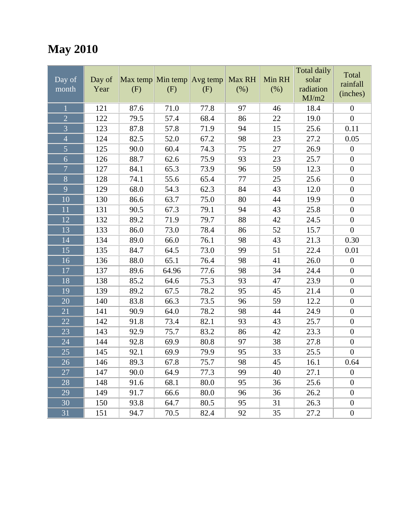## **May 2010**

|                |        |      |                              |      |        |        | <b>Total daily</b> | Total            |
|----------------|--------|------|------------------------------|------|--------|--------|--------------------|------------------|
| Day of         | Day of |      | Max temp Min temp $Avg$ temp |      | Max RH | Min RH | solar              | rainfall         |
| month          | Year   | (F)  | (F)                          | (F)  | (% )   | (% )   | radiation<br>MJ/m2 | (inches)         |
| $\overline{1}$ | 121    | 87.6 | 71.0                         | 77.8 | 97     | 46     | 18.4               | $\boldsymbol{0}$ |
| $\overline{2}$ | 122    | 79.5 | 57.4                         | 68.4 | 86     | 22     | 19.0               | $\overline{0}$   |
| $\overline{3}$ | 123    | 87.8 | 57.8                         | 71.9 | 94     | 15     | 25.6               | 0.11             |
| $\overline{4}$ | 124    | 82.5 | 52.0                         | 67.2 | 98     | 23     | 27.2               | 0.05             |
| $\overline{5}$ | 125    | 90.0 | 60.4                         | 74.3 | 75     | 27     | 26.9               | $\boldsymbol{0}$ |
| 6              | 126    | 88.7 | 62.6                         | 75.9 | 93     | 23     | 25.7               | $\boldsymbol{0}$ |
| $\overline{7}$ | 127    | 84.1 | 65.3                         | 73.9 | 96     | 59     | 12.3               | $\boldsymbol{0}$ |
| 8              | 128    | 74.1 | 55.6                         | 65.4 | 77     | 25     | 25.6               | $\boldsymbol{0}$ |
| 9              | 129    | 68.0 | 54.3                         | 62.3 | 84     | 43     | 12.0               | $\boldsymbol{0}$ |
| 10             | 130    | 86.6 | 63.7                         | 75.0 | 80     | 44     | 19.9               | $\boldsymbol{0}$ |
| 11             | 131    | 90.5 | 67.3                         | 79.1 | 94     | 43     | 25.8               | $\boldsymbol{0}$ |
| 12             | 132    | 89.2 | 71.9                         | 79.7 | 88     | 42     | 24.5               | $\boldsymbol{0}$ |
| 13             | 133    | 86.0 | 73.0                         | 78.4 | 86     | 52     | 15.7               | $\boldsymbol{0}$ |
| 14             | 134    | 89.0 | 66.0                         | 76.1 | 98     | 43     | 21.3               | 0.30             |
| 15             | 135    | 84.7 | 64.5                         | 73.0 | 99     | 51     | 22.4               | 0.01             |
| 16             | 136    | 88.0 | 65.1                         | 76.4 | 98     | 41     | 26.0               | $\boldsymbol{0}$ |
| 17             | 137    | 89.6 | 64.96                        | 77.6 | 98     | 34     | 24.4               | $\boldsymbol{0}$ |
| 18             | 138    | 85.2 | 64.6                         | 75.3 | 93     | 47     | 23.9               | $\boldsymbol{0}$ |
| 19             | 139    | 89.2 | 67.5                         | 78.2 | 95     | 45     | 21.4               | $\boldsymbol{0}$ |
| 20             | 140    | 83.8 | 66.3                         | 73.5 | 96     | 59     | 12.2               | $\boldsymbol{0}$ |
| 21             | 141    | 90.9 | 64.0                         | 78.2 | 98     | 44     | 24.9               | $\boldsymbol{0}$ |
| 22             | 142    | 91.8 | 73.4                         | 82.1 | 93     | 43     | 25.7               | $\boldsymbol{0}$ |
| 23             | 143    | 92.9 | 75.7                         | 83.2 | 86     | 42     | 23.3               | $\boldsymbol{0}$ |
| 24             | 144    | 92.8 | 69.9                         | 80.8 | 97     | 38     | 27.8               | $\boldsymbol{0}$ |
| 25             | 145    | 92.1 | 69.9                         | 79.9 | 95     | 33     | 25.5               | $\boldsymbol{0}$ |
| 26             | 146    | 89.3 | 67.8                         | 75.7 | 98     | 45     | 16.1               | 0.64             |
| 27             | 147    | 90.0 | 64.9                         | 77.3 | 99     | 40     | 27.1               | $\overline{0}$   |
| 28             | 148    | 91.6 | 68.1                         | 80.0 | 95     | 36     | 25.6               | $\boldsymbol{0}$ |
| 29             | 149    | 91.7 | 66.6                         | 80.0 | 96     | 36     | 26.2               | $\boldsymbol{0}$ |
| 30             | 150    | 93.8 | 64.7                         | 80.5 | 95     | 31     | 26.3               | $\boldsymbol{0}$ |
| 31             | 151    | 94.7 | 70.5                         | 82.4 | 92     | 35     | 27.2               | $\boldsymbol{0}$ |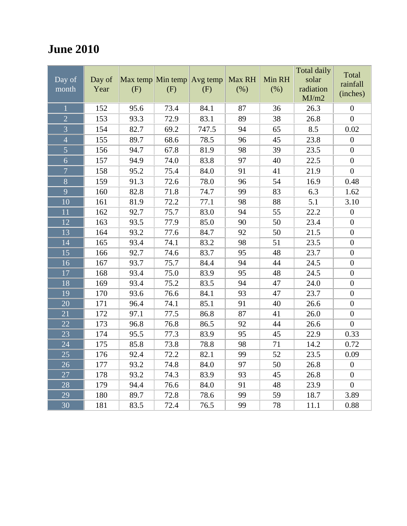### **June 2010**

| Day of<br>month | Day of<br>Year | (F)  | Max temp Min temp Avg temp<br>(F) | (F)   | Max RH<br>(% ) | Min RH<br>(% ) | <b>Total daily</b><br>solar<br>radiation<br>MJ/m2 | Total<br>rainfall<br>(inches) |
|-----------------|----------------|------|-----------------------------------|-------|----------------|----------------|---------------------------------------------------|-------------------------------|
| $\mathbf 1$     | 152            | 95.6 | 73.4                              | 84.1  | 87             | 36             | 26.3                                              | $\boldsymbol{0}$              |
| $\overline{2}$  | 153            | 93.3 | 72.9                              | 83.1  | 89             | 38             | 26.8                                              | $\overline{0}$                |
| $\overline{3}$  | 154            | 82.7 | 69.2                              | 747.5 | 94             | 65             | 8.5                                               | 0.02                          |
| $\overline{4}$  | 155            | 89.7 | 68.6                              | 78.5  | 96             | 45             | 23.8                                              | $\boldsymbol{0}$              |
| $\overline{5}$  | 156            | 94.7 | 67.8                              | 81.9  | 98             | 39             | 23.5                                              | $\boldsymbol{0}$              |
| $\overline{6}$  | 157            | 94.9 | 74.0                              | 83.8  | 97             | 40             | 22.5                                              | $\boldsymbol{0}$              |
| $\overline{7}$  | 158            | 95.2 | 75.4                              | 84.0  | 91             | 41             | 21.9                                              | $\boldsymbol{0}$              |
| 8               | 159            | 91.3 | 72.6                              | 78.0  | 96             | 54             | 16.9                                              | 0.48                          |
| 9               | 160            | 82.8 | 71.8                              | 74.7  | 99             | 83             | 6.3                                               | 1.62                          |
| 10              | 161            | 81.9 | 72.2                              | 77.1  | 98             | 88             | 5.1                                               | 3.10                          |
| 11              | 162            | 92.7 | 75.7                              | 83.0  | 94             | 55             | 22.2                                              | $\boldsymbol{0}$              |
| 12              | 163            | 93.5 | 77.9                              | 85.0  | 90             | 50             | 23.4                                              | $\boldsymbol{0}$              |
| $\overline{13}$ | 164            | 93.2 | 77.6                              | 84.7  | 92             | 50             | 21.5                                              | $\boldsymbol{0}$              |
| 14              | 165            | 93.4 | 74.1                              | 83.2  | 98             | 51             | 23.5                                              | $\boldsymbol{0}$              |
| 15              | 166            | 92.7 | 74.6                              | 83.7  | 95             | 48             | 23.7                                              | $\boldsymbol{0}$              |
| 16              | 167            | 93.7 | 75.7                              | 84.4  | 94             | 44             | 24.5                                              | $\boldsymbol{0}$              |
| 17              | 168            | 93.4 | 75.0                              | 83.9  | 95             | 48             | 24.5                                              | $\boldsymbol{0}$              |
| 18              | 169            | 93.4 | 75.2                              | 83.5  | 94             | 47             | 24.0                                              | $\boldsymbol{0}$              |
| 19              | 170            | 93.6 | 76.6                              | 84.1  | 93             | 47             | 23.7                                              | $\overline{0}$                |
| 20              | 171            | 96.4 | 74.1                              | 85.1  | 91             | 40             | 26.6                                              | $\boldsymbol{0}$              |
| 21              | 172            | 97.1 | 77.5                              | 86.8  | 87             | 41             | 26.0                                              | $\boldsymbol{0}$              |
| 22              | 173            | 96.8 | 76.8                              | 86.5  | 92             | 44             | 26.6                                              | $\boldsymbol{0}$              |
| 23              | 174            | 95.5 | 77.3                              | 83.9  | 95             | 45             | 22.9                                              | 0.33                          |
| 24              | 175            | 85.8 | 73.8                              | 78.8  | 98             | 71             | 14.2                                              | 0.72                          |
| $\overline{25}$ | 176            | 92.4 | 72.2                              | 82.1  | 99             | 52             | 23.5                                              | 0.09                          |
| 26              | 177            | 93.2 | 74.8                              | 84.0  | 97             | 50             | 26.8                                              | $\boldsymbol{0}$              |
| 27              | 178            | 93.2 | 74.3                              | 83.9  | 93             | 45             | 26.8                                              | $\boldsymbol{0}$              |
| 28              | 179            | 94.4 | 76.6                              | 84.0  | 91             | 48             | 23.9                                              | $\boldsymbol{0}$              |
| 29              | 180            | 89.7 | 72.8                              | 78.6  | 99             | 59             | 18.7                                              | 3.89                          |
| $\overline{30}$ | 181            | 83.5 | 72.4                              | 76.5  | 99             | 78             | 11.1                                              | 0.88                          |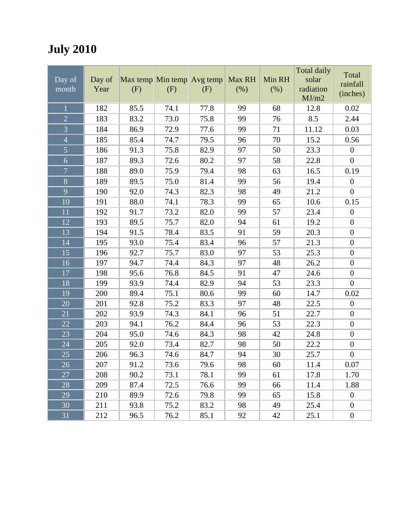## **July 2010**

|                |        |                            |      |      |        |        | Total daily | Total            |
|----------------|--------|----------------------------|------|------|--------|--------|-------------|------------------|
| Day of         | Day of | Max temp Min temp Avg temp |      |      | Max RH | Min RH | solar       | rainfall         |
| month          | Year   | (F)                        | (F)  | (F)  | $(\%)$ | (% )   | radiation   | (inches)         |
|                |        |                            |      |      |        |        | MJ/m2       |                  |
| $\overline{1}$ | 182    | 85.5                       | 74.1 | 77.8 | 99     | 68     | 12.8        | 0.02             |
| $\overline{2}$ | 183    | 83.2                       | 73.0 | 75.8 | 99     | 76     | 8.5         | 2.44             |
| $\overline{3}$ | 184    | 86.9                       | 72.9 | 77.6 | 99     | 71     | 11.12       | 0.03             |
| $\overline{4}$ | 185    | 85.4                       | 74.7 | 79.5 | 96     | 70     | 15.2        | 0.56             |
| 5              | 186    | 91.3                       | 75.8 | 82.9 | 97     | 50     | 23.3        | $\boldsymbol{0}$ |
| $\overline{6}$ | 187    | 89.3                       | 72.6 | 80.2 | 97     | 58     | 22.8        | $\boldsymbol{0}$ |
| $\overline{7}$ | 188    | 89.0                       | 75.9 | 79.4 | 98     | 63     | 16.5        | 0.19             |
| 8              | 189    | 89.5                       | 75.0 | 81.4 | 99     | 56     | 19.4        | $\boldsymbol{0}$ |
| 9              | 190    | 92.0                       | 74.3 | 82.3 | 98     | 49     | 21.2        | $\boldsymbol{0}$ |
| 10             | 191    | 88.0                       | 74.1 | 78.3 | 99     | 65     | 10.6        | 0.15             |
| 11             | 192    | 91.7                       | 73.2 | 82.0 | 99     | 57     | 23.4        | $\boldsymbol{0}$ |
| 12             | 193    | 89.5                       | 75.7 | 82.0 | 94     | 61     | 19.2        | $\boldsymbol{0}$ |
| 13             | 194    | 91.5                       | 78.4 | 83.5 | 91     | 59     | 20.3        | $\boldsymbol{0}$ |
| 14             | 195    | 93.0                       | 75.4 | 83.4 | 96     | 57     | 21.3        | $\boldsymbol{0}$ |
| 15             | 196    | 92.7                       | 75.7 | 83.0 | 97     | 53     | 25.3        | $\boldsymbol{0}$ |
| 16             | 197    | 94.7                       | 74.4 | 84.3 | 97     | 48     | 26.2        | $\boldsymbol{0}$ |
| 17             | 198    | 95.6                       | 76.8 | 84.5 | 91     | 47     | 24.6        | $\boldsymbol{0}$ |
| 18             | 199    | 93.9                       | 74.4 | 82.9 | 94     | 53     | 23.3        | $\boldsymbol{0}$ |
| 19             | 200    | 89.4                       | 75.1 | 80.6 | 99     | 60     | 14.7        | 0.02             |
| 20             | 201    | 92.8                       | 75.2 | 83.3 | 97     | 48     | 22.5        | $\boldsymbol{0}$ |
| 21             | 202    | 93.9                       | 74.3 | 84.1 | 96     | 51     | 22.7        | $\boldsymbol{0}$ |
| 22             | 203    | 94.1                       | 76.2 | 84.4 | 96     | 53     | 22.3        | $\boldsymbol{0}$ |
| 23             | 204    | 95.0                       | 74.6 | 84.3 | 98     | 42     | 24.8        | $\boldsymbol{0}$ |
| 24             | 205    | 92.0                       | 73.4 | 82.7 | 98     | 50     | 22.2        | $\boldsymbol{0}$ |
| 25             | 206    | 96.3                       | 74.6 | 84.7 | 94     | 30     | 25.7        | $\boldsymbol{0}$ |
| 26             | 207    | 91.2                       | 73.6 | 79.6 | 98     | 60     | 11.4        | 0.07             |
| 27             | 208    | 90.2                       | 73.1 | 78.1 | 99     | 61     | 17.8        | 1.70             |
| 28             | 209    | 87.4                       | 72.5 | 76.6 | 99     | 66     | 11.4        | 1.88             |
| 29             | 210    | 89.9                       | 72.6 | 79.8 | 99     | 65     | 15.8        | $\boldsymbol{0}$ |
| 30             | 211    | 93.8                       | 75.2 | 83.2 | 98     | 49     | 25.4        | $\boldsymbol{0}$ |
| 31             | 212    | 96.5                       | 76.2 | 85.1 | 92     | 42     | 25.1        | $\boldsymbol{0}$ |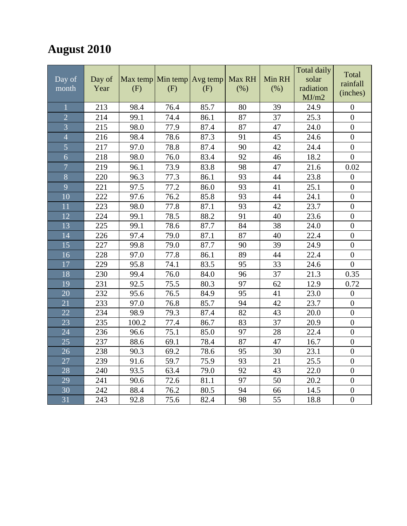### **August 2010**

| $Day$ of<br>month | Day of<br>Year | Max temp Min temp Avg temp<br>(F) | (F)  | (F)  | Max RH<br>(% ) | Min RH<br>(% ) | <b>Total daily</b><br>solar<br>radiation<br>MJ/m2 | Total<br>rainfall<br>(inches) |
|-------------------|----------------|-----------------------------------|------|------|----------------|----------------|---------------------------------------------------|-------------------------------|
|                   | 213            | 98.4                              | 76.4 | 85.7 | 80             | 39             | 24.9                                              | $\boldsymbol{0}$              |
| $\overline{2}$    | 214            | 99.1                              | 74.4 | 86.1 | 87             | 37             | 25.3                                              | $\overline{0}$                |
| $\overline{3}$    | 215            | 98.0                              | 77.9 | 87.4 | 87             | 47             | 24.0                                              | $\overline{0}$                |
| $\overline{4}$    | 216            | 98.4                              | 78.6 | 87.3 | 91             | 45             | 24.6                                              | $\overline{0}$                |
| $\overline{5}$    | 217            | 97.0                              | 78.8 | 87.4 | 90             | 42             | 24.4                                              | $\boldsymbol{0}$              |
| 6                 | 218            | 98.0                              | 76.0 | 83.4 | 92             | 46             | 18.2                                              | $\boldsymbol{0}$              |
| $\overline{7}$    | 219            | 96.1                              | 73.9 | 83.8 | 98             | 47             | 21.6                                              | 0.02                          |
| 8                 | 220            | 96.3                              | 77.3 | 86.1 | 93             | 44             | 23.8                                              | $\boldsymbol{0}$              |
| 9                 | 221            | 97.5                              | 77.2 | 86.0 | 93             | 41             | 25.1                                              | $\boldsymbol{0}$              |
| 10                | 222            | 97.6                              | 76.2 | 85.8 | 93             | 44             | 24.1                                              | $\boldsymbol{0}$              |
| 11                | 223            | 98.0                              | 77.8 | 87.1 | 93             | 42             | 23.7                                              | $\boldsymbol{0}$              |
| 12                | 224            | 99.1                              | 78.5 | 88.2 | 91             | 40             | 23.6                                              | $\boldsymbol{0}$              |
| 13                | 225            | 99.1                              | 78.6 | 87.7 | 84             | 38             | 24.0                                              | $\overline{0}$                |
| 14                | 226            | 97.4                              | 79.0 | 87.1 | 87             | 40             | 22.4                                              | $\boldsymbol{0}$              |
| 15                | 227            | 99.8                              | 79.0 | 87.7 | 90             | 39             | 24.9                                              | $\overline{0}$                |
| 16                | 228            | 97.0                              | 77.8 | 86.1 | 89             | 44             | 22.4                                              | $\boldsymbol{0}$              |
| 17                | 229            | 95.8                              | 74.1 | 83.5 | 95             | 33             | 24.6                                              | $\overline{0}$                |
| 18                | 230            | 99.4                              | 76.0 | 84.0 | 96             | 37             | 21.3                                              | 0.35                          |
| 19                | 231            | 92.5                              | 75.5 | 80.3 | 97             | 62             | 12.9                                              | 0.72                          |
| 20                | 232            | 95.6                              | 76.5 | 84.9 | 95             | 41             | 23.0                                              | $\boldsymbol{0}$              |
| 21                | 233            | 97.0                              | 76.8 | 85.7 | 94             | 42             | 23.7                                              | $\overline{0}$                |
| 22                | 234            | 98.9                              | 79.3 | 87.4 | 82             | 43             | 20.0                                              | $\boldsymbol{0}$              |
| 23                | 235            | 100.2                             | 77.4 | 86.7 | 83             | 37             | 20.9                                              | $\overline{0}$                |
| 24                | 236            | 96.6                              | 75.1 | 85.0 | 97             | 28             | 22.4                                              | $\overline{0}$                |
| 25                | 237            | 88.6                              | 69.1 | 78.4 | 87             | 47             | 16.7                                              | $\boldsymbol{0}$              |
| 26                | 238            | 90.3                              | 69.2 | 78.6 | 95             | 30             | 23.1                                              | $\boldsymbol{0}$              |
| 27                | 239            | 91.6                              | 59.7 | 75.9 | 93             | 21             | 25.5                                              | $\boldsymbol{0}$              |
| 28                | 240            | 93.5                              | 63.4 | 79.0 | 92             | 43             | 22.0                                              | $\boldsymbol{0}$              |
| 29                | 241            | 90.6                              | 72.6 | 81.1 | 97             | 50             | 20.2                                              | $\overline{0}$                |
| 30                | 242            | 88.4                              | 76.2 | 80.5 | 94             | 66             | 14.5                                              | $\boldsymbol{0}$              |
| 31                | 243            | 92.8                              | 75.6 | 82.4 | 98             | 55             | 18.8                                              | $\overline{0}$                |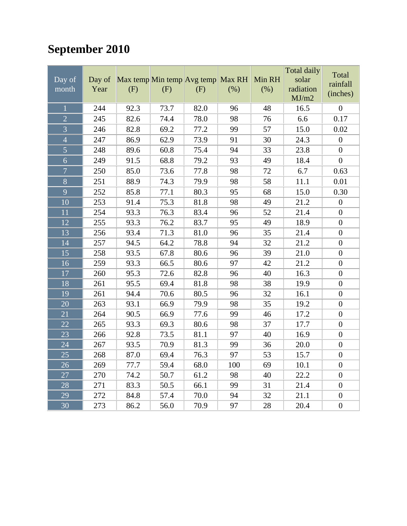# **September 2010**

| Day of<br>month | Day of<br>Year | Max temp Min temp Avg temp<br>(F) | (F)  | (F)  | Max RH<br>(%) | Min RH<br>(% ) | Total daily<br>solar<br>radiation<br>MJ/m2 | Total<br>rainfall<br>(inches) |
|-----------------|----------------|-----------------------------------|------|------|---------------|----------------|--------------------------------------------|-------------------------------|
| $\mathbf{1}$    | 244            | 92.3                              | 73.7 | 82.0 | 96            | 48             | 16.5                                       | $\overline{0}$                |
| $\overline{2}$  | 245            | 82.6                              | 74.4 | 78.0 | 98            | 76             | 6.6                                        | 0.17                          |
| $\overline{3}$  | 246            | 82.8                              | 69.2 | 77.2 | 99            | 57             | 15.0                                       | 0.02                          |
| $\overline{4}$  | 247            | 86.9                              | 62.9 | 73.9 | 91            | 30             | 24.3                                       | $\boldsymbol{0}$              |
| $\overline{5}$  | 248            | 89.6                              | 60.8 | 75.4 | 94            | 33             | 23.8                                       | $\boldsymbol{0}$              |
| 6               | 249            | 91.5                              | 68.8 | 79.2 | 93            | 49             | 18.4                                       | $\overline{0}$                |
| $\overline{7}$  | 250            | 85.0                              | 73.6 | 77.8 | 98            | 72             | 6.7                                        | 0.63                          |
| $\overline{8}$  | 251            | 88.9                              | 74.3 | 79.9 | 98            | 58             | 11.1                                       | 0.01                          |
| 9               | 252            | 85.8                              | 77.1 | 80.3 | 95            | 68             | 15.0                                       | 0.30                          |
| $\overline{10}$ | 253            | 91.4                              | 75.3 | 81.8 | 98            | 49             | 21.2                                       | $\boldsymbol{0}$              |
| 11              | 254            | 93.3                              | 76.3 | 83.4 | 96            | 52             | 21.4                                       | $\boldsymbol{0}$              |
| 12              | 255            | 93.3                              | 76.2 | 83.7 | 95            | 49             | 18.9                                       | $\boldsymbol{0}$              |
| 13              | 256            | 93.4                              | 71.3 | 81.0 | 96            | 35             | 21.4                                       | $\boldsymbol{0}$              |
| 14              | 257            | 94.5                              | 64.2 | 78.8 | 94            | 32             | 21.2                                       | $\overline{0}$                |
| 15              | 258            | 93.5                              | 67.8 | 80.6 | 96            | 39             | 21.0                                       | $\boldsymbol{0}$              |
| 16              | 259            | 93.3                              | 66.5 | 80.6 | 97            | 42             | 21.2                                       | $\boldsymbol{0}$              |
| 17              | 260            | 95.3                              | 72.6 | 82.8 | 96            | 40             | 16.3                                       | $\boldsymbol{0}$              |
| 18              | 261            | 95.5                              | 69.4 | 81.8 | 98            | 38             | 19.9                                       | $\boldsymbol{0}$              |
| 19              | 261            | 94.4                              | 70.6 | 80.5 | 96            | 32             | 16.1                                       | $\boldsymbol{0}$              |
| $\overline{20}$ | 263            | 93.1                              | 66.9 | 79.9 | 98            | 35             | 19.2                                       | $\boldsymbol{0}$              |
| $\overline{21}$ | 264            | 90.5                              | 66.9 | 77.6 | 99            | 46             | 17.2                                       | $\boldsymbol{0}$              |
| 22              | 265            | 93.3                              | 69.3 | 80.6 | 98            | 37             | 17.7                                       | $\boldsymbol{0}$              |
| 23              | 266            | 92.8                              | 73.5 | 81.1 | 97            | 40             | 16.9                                       | $\boldsymbol{0}$              |
| 24              | 267            | 93.5                              | 70.9 | 81.3 | 99            | 36             | 20.0                                       | $\boldsymbol{0}$              |
| 25              | 268            | 87.0                              | 69.4 | 76.3 | 97            | 53             | 15.7                                       | $\overline{0}$                |
| 26              | 269            | 77.7                              | 59.4 | 68.0 | 100           | 69             | 10.1                                       | $\boldsymbol{0}$              |
| 27              | 270            | 74.2                              | 50.7 | 61.2 | 98            | 40             | 22.2                                       | $\boldsymbol{0}$              |
| 28              | 271            | 83.3                              | 50.5 | 66.1 | 99            | 31             | 21.4                                       | $\boldsymbol{0}$              |
| 29              | 272            | 84.8                              | 57.4 | 70.0 | 94            | 32             | 21.1                                       | $\boldsymbol{0}$              |
| 30              | 273            | 86.2                              | 56.0 | 70.9 | 97            | 28             | 20.4                                       | $\boldsymbol{0}$              |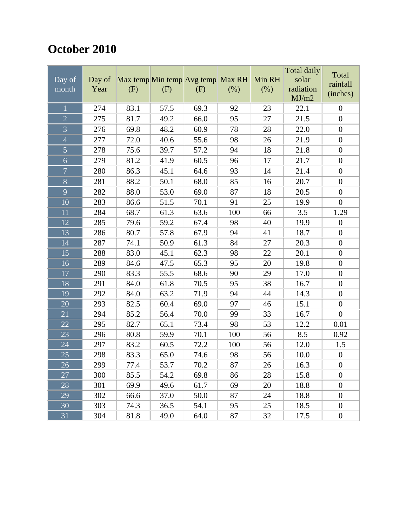### **October 2010**

| Day of<br>month | Day of<br>Year | Max temp Min temp Avg temp Max RH<br>(F) | (F)  | (F)  | (% ) | Min RH<br>(% ) | <b>Total daily</b><br>solar<br>radiation<br>MJ/m2 | Total<br>rainfall<br>(inches) |
|-----------------|----------------|------------------------------------------|------|------|------|----------------|---------------------------------------------------|-------------------------------|
| $\overline{1}$  | 274            | 83.1                                     | 57.5 | 69.3 | 92   | 23             | 22.1                                              | $\boldsymbol{0}$              |
| $\overline{2}$  | 275            | 81.7                                     | 49.2 | 66.0 | 95   | 27             | 21.5                                              | $\boldsymbol{0}$              |
| $\overline{3}$  | 276            | 69.8                                     | 48.2 | 60.9 | 78   | 28             | 22.0                                              | $\boldsymbol{0}$              |
| $\overline{4}$  | 277            | 72.0                                     | 40.6 | 55.6 | 98   | 26             | 21.9                                              | $\boldsymbol{0}$              |
| 5               | 278            | 75.6                                     | 39.7 | 57.2 | 94   | 18             | 21.8                                              | $\boldsymbol{0}$              |
| $\overline{6}$  | 279            | 81.2                                     | 41.9 | 60.5 | 96   | 17             | 21.7                                              | $\boldsymbol{0}$              |
| $\overline{7}$  | 280            | 86.3                                     | 45.1 | 64.6 | 93   | 14             | 21.4                                              | $\boldsymbol{0}$              |
| $\bf 8$         | 281            | 88.2                                     | 50.1 | 68.0 | 85   | 16             | 20.7                                              | $\boldsymbol{0}$              |
| 9               | 282            | 88.0                                     | 53.0 | 69.0 | 87   | 18             | 20.5                                              | $\boldsymbol{0}$              |
| 10              | 283            | 86.6                                     | 51.5 | 70.1 | 91   | 25             | 19.9                                              | $\overline{0}$                |
| 11              | 284            | 68.7                                     | 61.3 | 63.6 | 100  | 66             | 3.5                                               | 1.29                          |
| 12              | 285            | 79.6                                     | 59.2 | 67.4 | 98   | 40             | 19.9                                              | $\boldsymbol{0}$              |
| 13              | 286            | 80.7                                     | 57.8 | 67.9 | 94   | 41             | 18.7                                              | $\boldsymbol{0}$              |
| 14              | 287            | 74.1                                     | 50.9 | 61.3 | 84   | 27             | 20.3                                              | $\boldsymbol{0}$              |
| 15              | 288            | 83.0                                     | 45.1 | 62.3 | 98   | 22             | 20.1                                              | $\boldsymbol{0}$              |
| 16              | 289            | 84.6                                     | 47.5 | 65.3 | 95   | 20             | 19.8                                              | $\boldsymbol{0}$              |
| 17              | 290            | 83.3                                     | 55.5 | 68.6 | 90   | 29             | 17.0                                              | $\boldsymbol{0}$              |
| 18              | 291            | 84.0                                     | 61.8 | 70.5 | 95   | 38             | 16.7                                              | $\boldsymbol{0}$              |
| 19              | 292            | 84.0                                     | 63.2 | 71.9 | 94   | 44             | 14.3                                              | $\boldsymbol{0}$              |
| 20              | 293            | 82.5                                     | 60.4 | 69.0 | 97   | 46             | 15.1                                              | $\boldsymbol{0}$              |
| 21              | 294            | 85.2                                     | 56.4 | 70.0 | 99   | 33             | 16.7                                              | $\overline{0}$                |
| 22              | 295            | 82.7                                     | 65.1 | 73.4 | 98   | 53             | 12.2                                              | 0.01                          |
| 23              | 296            | 80.8                                     | 59.9 | 70.1 | 100  | 56             | 8.5                                               | 0.92                          |
| 24              | 297            | 83.2                                     | 60.5 | 72.2 | 100  | 56             | 12.0                                              | 1.5                           |
| 25              | 298            | 83.3                                     | 65.0 | 74.6 | 98   | 56             | 10.0                                              | $\boldsymbol{0}$              |
| 26              | 299            | 77.4                                     | 53.7 | 70.2 | 87   | 26             | 16.3                                              | $\theta$                      |
| 27              | 300            | 85.5                                     | 54.2 | 69.8 | 86   | 28             | 15.8                                              | $\boldsymbol{0}$              |
| 28              | 301            | 69.9                                     | 49.6 | 61.7 | 69   | 20             | 18.8                                              | $\boldsymbol{0}$              |
| 29              | 302            | 66.6                                     | 37.0 | 50.0 | 87   | 24             | 18.8                                              | $\boldsymbol{0}$              |
| 30              | 303            | 74.3                                     | 36.5 | 54.1 | 95   | 25             | 18.5                                              | $\boldsymbol{0}$              |
| 31              | 304            | 81.8                                     | 49.0 | 64.0 | 87   | 32             | 17.5                                              | $\boldsymbol{0}$              |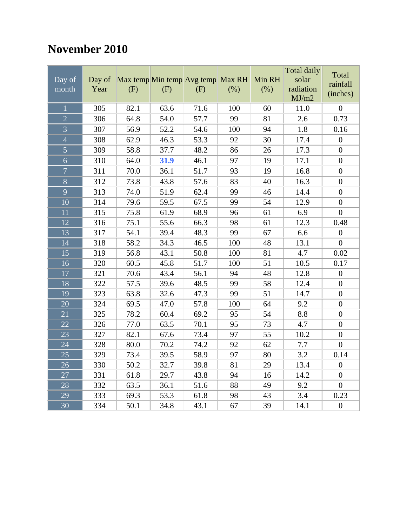#### **November 2010**

| Day of<br>month | Day of<br>Year | (F)  | (F)  | Max temp Min temp Avg temp Max RH<br>(F) | (% ) | Min RH<br>(% ) | <b>Total daily</b><br>solar<br>radiation<br>MJ/m2 | Total<br>rainfall<br>(inches) |
|-----------------|----------------|------|------|------------------------------------------|------|----------------|---------------------------------------------------|-------------------------------|
| $\mathbf{1}$    | 305            | 82.1 | 63.6 | 71.6                                     | 100  | 60             | 11.0                                              | $\overline{0}$                |
| $\overline{2}$  | 306            | 64.8 | 54.0 | 57.7                                     | 99   | 81             | 2.6                                               | 0.73                          |
| $\overline{3}$  | 307            | 56.9 | 52.2 | 54.6                                     | 100  | 94             | 1.8                                               | 0.16                          |
| $\overline{4}$  | 308            | 62.9 | 46.3 | 53.3                                     | 92   | 30             | 17.4                                              | $\boldsymbol{0}$              |
| $\overline{5}$  | 309            | 58.8 | 37.7 | 48.2                                     | 86   | 26             | 17.3                                              | $\overline{0}$                |
| 6               | 310            | 64.0 | 31.9 | 46.1                                     | 97   | 19             | 17.1                                              | $\overline{0}$                |
| $\overline{7}$  | 311            | 70.0 | 36.1 | 51.7                                     | 93   | 19             | 16.8                                              | $\boldsymbol{0}$              |
| 8               | 312            | 73.8 | 43.8 | 57.6                                     | 83   | 40             | 16.3                                              | $\boldsymbol{0}$              |
| 9               | 313            | 74.0 | 51.9 | 62.4                                     | 99   | 46             | 14.4                                              | $\overline{0}$                |
| 10              | 314            | 79.6 | 59.5 | 67.5                                     | 99   | 54             | 12.9                                              | $\overline{0}$                |
| 11              | 315            | 75.8 | 61.9 | 68.9                                     | 96   | 61             | 6.9                                               | $\boldsymbol{0}$              |
| 12              | 316            | 75.1 | 55.6 | 66.3                                     | 98   | 61             | 12.3                                              | 0.48                          |
| 13              | 317            | 54.1 | 39.4 | 48.3                                     | 99   | 67             | 6.6                                               | $\boldsymbol{0}$              |
| 14              | 318            | 58.2 | 34.3 | 46.5                                     | 100  | 48             | 13.1                                              | $\overline{0}$                |
| 15              | 319            | 56.8 | 43.1 | 50.8                                     | 100  | 81             | 4.7                                               | 0.02                          |
| 16              | 320            | 60.5 | 45.8 | 51.7                                     | 100  | 51             | 10.5                                              | 0.17                          |
| 17              | 321            | 70.6 | 43.4 | 56.1                                     | 94   | 48             | 12.8                                              | $\boldsymbol{0}$              |
| 18              | 322            | 57.5 | 39.6 | 48.5                                     | 99   | 58             | 12.4                                              | $\boldsymbol{0}$              |
| 19              | 323            | 63.8 | 32.6 | 47.3                                     | 99   | 51             | 14.7                                              | $\overline{0}$                |
| 20              | 324            | 69.5 | 47.0 | 57.8                                     | 100  | 64             | 9.2                                               | $\boldsymbol{0}$              |
| $\overline{21}$ | 325            | 78.2 | 60.4 | 69.2                                     | 95   | 54             | 8.8                                               | $\boldsymbol{0}$              |
| 22              | 326            | 77.0 | 63.5 | 70.1                                     | 95   | 73             | 4.7                                               | $\boldsymbol{0}$              |
| 23              | 327            | 82.1 | 67.6 | 73.4                                     | 97   | 55             | 10.2                                              | $\boldsymbol{0}$              |
| 24              | 328            | 80.0 | 70.2 | 74.2                                     | 92   | 62             | 7.7                                               | $\overline{0}$                |
| 25              | 329            | 73.4 | 39.5 | 58.9                                     | 97   | 80             | 3.2                                               | 0.14                          |
| 26              | 330            | 50.2 | 32.7 | 39.8                                     | 81   | 29             | 13.4                                              | $\boldsymbol{0}$              |
| 27              | 331            | 61.8 | 29.7 | 43.8                                     | 94   | 16             | 14.2                                              | $\boldsymbol{0}$              |
| 28              | 332            | 63.5 | 36.1 | 51.6                                     | 88   | 49             | 9.2                                               | $\overline{0}$                |
| 29              | 333            | 69.3 | 53.3 | 61.8                                     | 98   | 43             | 3.4                                               | 0.23                          |
| 30              | 334            | 50.1 | 34.8 | 43.1                                     | 67   | 39             | 14.1                                              | $\boldsymbol{0}$              |